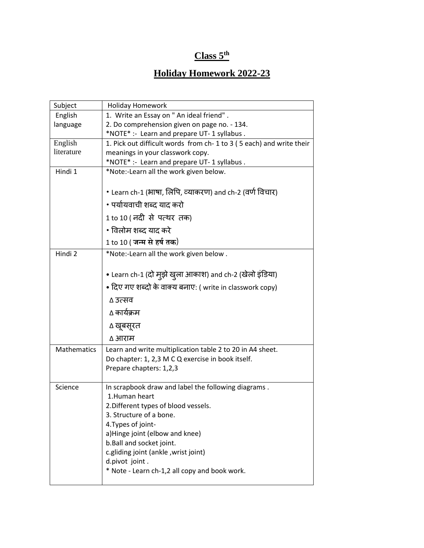## **Class 5th**

## **Holiday Homework 2022-23**

| Subject            | <b>Holiday Homework</b>                                             |
|--------------------|---------------------------------------------------------------------|
| English            | 1. Write an Essay on " An ideal friend" .                           |
| language           | 2. Do comprehension given on page no. - 134.                        |
|                    | *NOTE* :- Learn and prepare UT-1 syllabus.                          |
| English            | 1. Pick out difficult words from ch-1 to 3 (5 each) and write their |
| literature         | meanings in your classwork copy.                                    |
|                    | *NOTE* :- Learn and prepare UT-1 syllabus.                          |
| Hindi 1            | *Note:-Learn all the work given below.                              |
|                    | • Learn ch-1 (भाषा, लिपि, व्याकरण) and ch-2 (वर्ण विचार)            |
|                    | • पर्यायवाची शब्द याद करो                                           |
|                    | 1 to 10 ( नदी से पत्थर तक)                                          |
|                    | • विलोम शब्द याद करे                                                |
|                    | 1 to 10 ( जन्म से हर्ष तक)                                          |
| Hindi 2            | *Note:-Learn all the work given below.                              |
|                    | • Learn ch-1 (दो मुझे खुला आकाश) and ch-2 (खेलो इंडिया)             |
|                    | • दिए गए शब्दों के वाक्य बनाए: ( write in classwork copy)           |
|                    | ∆ उत्सव                                                             |
|                    | ∆ कार्यक्रम                                                         |
|                    | ∆ खूबसूरत                                                           |
|                    | ∆ आराम                                                              |
| <b>Mathematics</b> | Learn and write multiplication table 2 to 20 in A4 sheet.           |
|                    | Do chapter: 1, 2,3 M C Q exercise in book itself.                   |
|                    | Prepare chapters: 1,2,3                                             |
| Science            | In scrapbook draw and label the following diagrams.                 |
|                    | 1.Human heart                                                       |
|                    | 2. Different types of blood vessels.                                |
|                    | 3. Structure of a bone.                                             |
|                    | 4. Types of joint-                                                  |
|                    | a)Hinge joint (elbow and knee)                                      |
|                    | b.Ball and socket joint.                                            |
|                    | c.gliding joint (ankle, wrist joint)                                |
|                    | d.pivot joint.                                                      |
|                    | * Note - Learn ch-1,2 all copy and book work.                       |